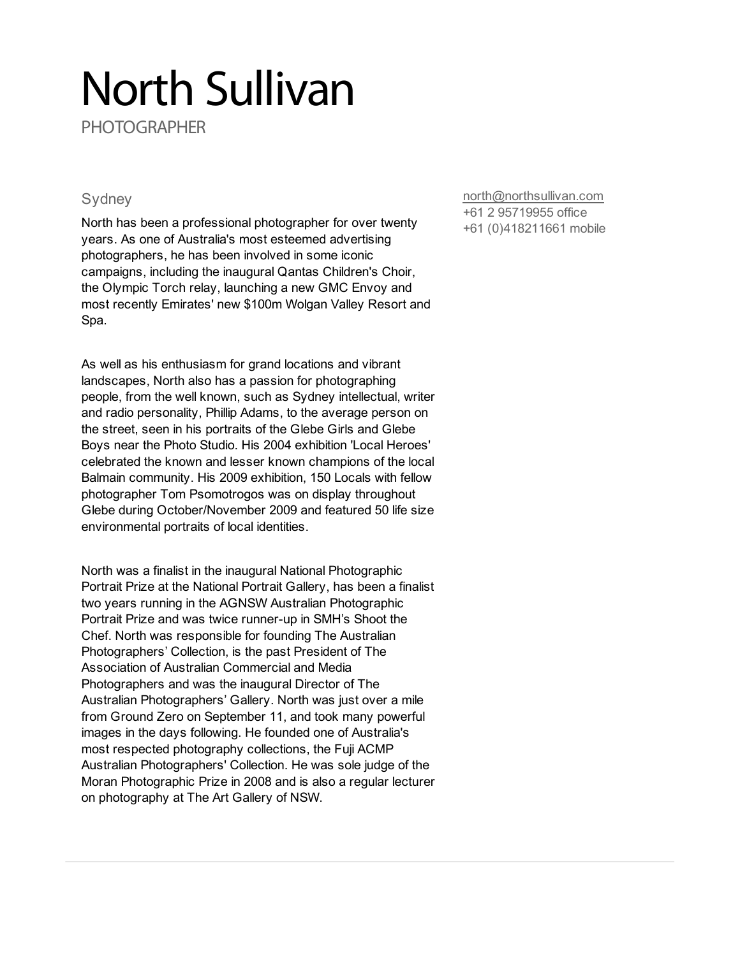## North Sullivan

**PHOTOGRAPHER** 

## **Sydney**

North has been a professional photographer for over twenty years. As one of Australia's most esteemed advertising photographers, he has been involved in some iconic campaigns, including the inaugural Qantas Children's Choir, the Olympic Torch relay, launching a new GMC Envoy and most recently Emirates' new \$100m Wolgan Valley Resort and Spa.

As well as his enthusiasm for grand locations and vibrant landscapes, North also has a passion for photographing people, from the well known, such as Sydney intellectual, writer and radio personality, Phillip Adams, to the average person on the street, seen in his portraits of the Glebe Girls and Glebe Boys near the Photo Studio. His 2004 exhibition 'Local Heroes' celebrated the known and lesser known champions of the local Balmain community. His 2009 exhibition, 150 Locals with fellow photographer Tom Psomotrogos was on display throughout Glebe during October/November 2009 and featured 50 life size environmental portraits of local identities.

North was a finalist in the inaugural National Photographic Portrait Prize at the National Portrait Gallery, has been a finalist two years running in the AGNSW Australian Photographic Portrait Prize and was twice runner-up in SMH's Shoot the Chef. North was responsible for founding The Australian Photographers' Collection, is the past President of The Association of Australian Commercial and Media Photographers and was the inaugural Director of The Australian Photographers' Gallery. North was just over a mile from Ground Zero on September 11, and took many powerful images in the days following. He founded one of Australia's most respected photography collections, the Fuji ACMP Australian Photographers' Collection. He was sole judge of the Moran Photographic Prize in 2008 and is also a regular lecturer on photography at The Art Gallery of NSW.

[north@northsullivan.com](mailto:north@northsullivan.com) +61 2 95719955 office

+61 (0)418211661 mobile